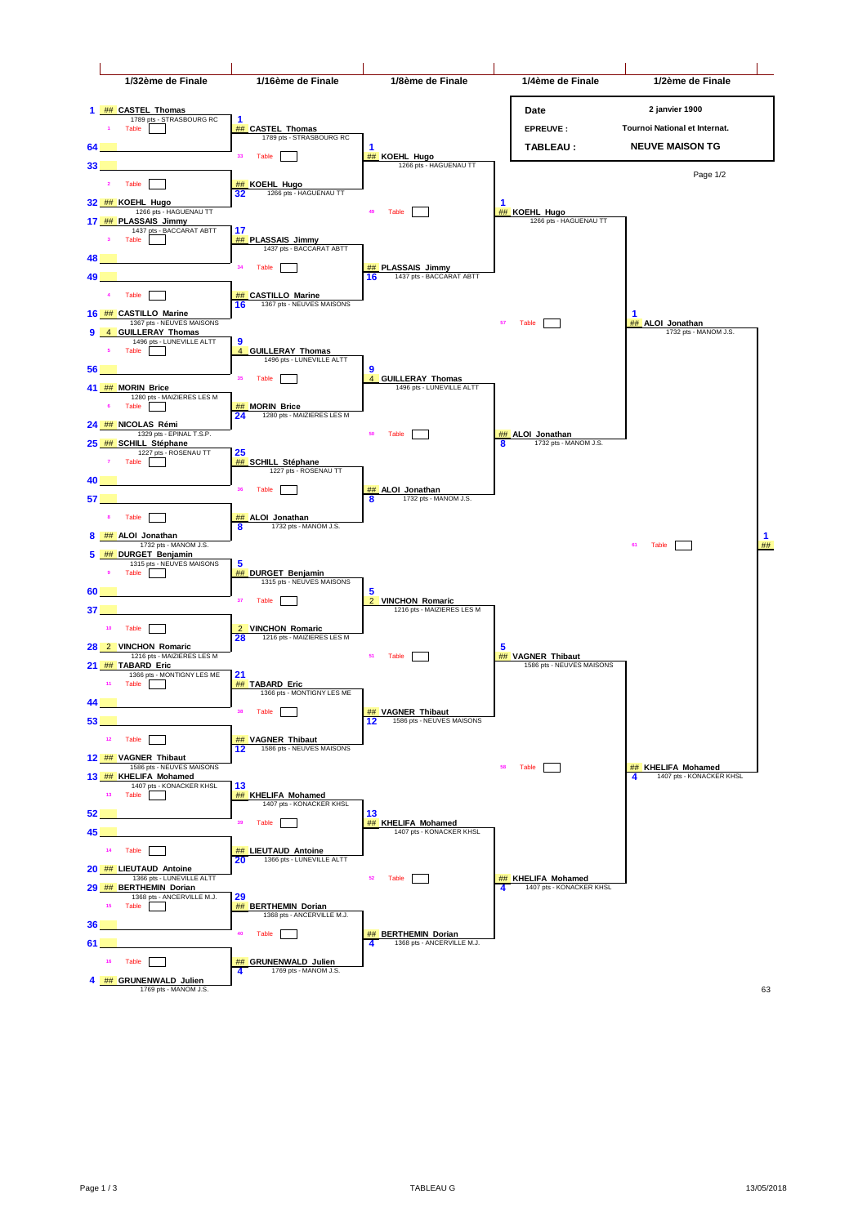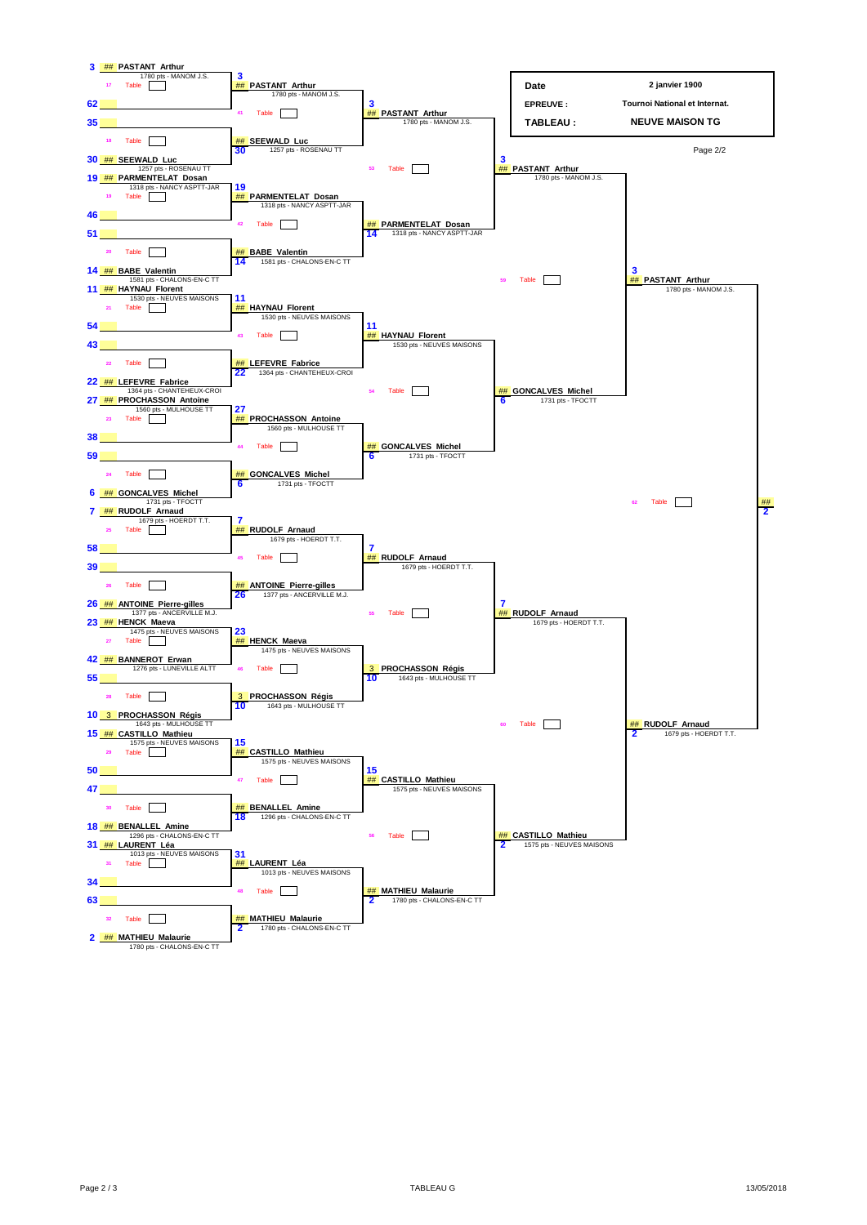